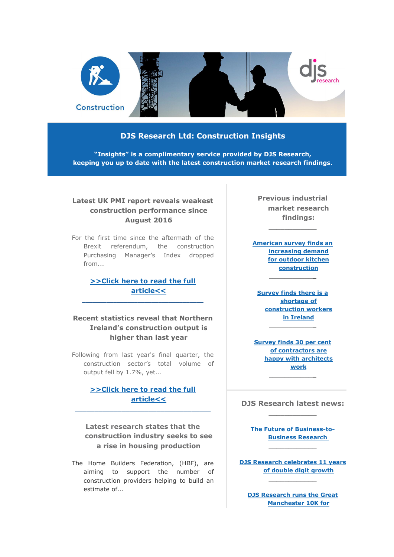

#### **DJS Research Ltd: Construction Insights**

**"Insights" is a complimentary service provided by DJS Research, keeping you up to date with the latest construction market research findings**.

### **Latest UK PMI report reveals weakest construction performance since August 2016**

For the first time since the aftermath of the Brexit referendum, the construction Purchasing Manager's Index dropped from...

# **[>>Click here to read the full](http://click.icptrack.com/icp/relay.php?r=&msgid=0&act=111111&c=948381&destination=http%3A%2F%2Fwww.djsresearch.co.uk%2FConstructionMarketResearchInsightsAndFindings%2Farticle%2FLatest-UK-PMI-report-reveals-weakest-construction-performance-since-August-2016-03794)  [article<<](http://click.icptrack.com/icp/relay.php?r=&msgid=0&act=111111&c=948381&destination=http%3A%2F%2Fwww.djsresearch.co.uk%2FConstructionMarketResearchInsightsAndFindings%2Farticle%2FLatest-UK-PMI-report-reveals-weakest-construction-performance-since-August-2016-03794)**

\_\_\_\_\_\_\_\_\_\_\_\_\_\_\_\_\_\_\_\_\_\_\_\_\_\_\_\_\_\_\_\_\_\_\_

# **Recent statistics reveal that Northern Ireland's construction output is higher than last year**

Following from last year's final quarter, the construction sector's total volume of output fell by 1.7%, yet...

# **[>>Click here to read the full](http://click.icptrack.com/icp/relay.php?r=&msgid=0&act=111111&c=948381&destination=http%3A%2F%2Fwww.djsresearch.co.uk%2FConstructionMarketResearchInsightsAndFindings%2Farticle%2FRecent-statistics-reveal-that-Northern-Irelands-construction-output-is-higher-than-last-year-03780)  [article<<](http://click.icptrack.com/icp/relay.php?r=&msgid=0&act=111111&c=948381&destination=http%3A%2F%2Fwww.djsresearch.co.uk%2FConstructionMarketResearchInsightsAndFindings%2Farticle%2FRecent-statistics-reveal-that-Northern-Irelands-construction-output-is-higher-than-last-year-03780)**

**\_\_\_\_\_\_\_\_\_\_\_\_\_\_\_\_\_\_\_\_\_\_\_\_\_\_\_\_\_\_\_\_\_\_\_**

**Latest research states that the construction industry seeks to see a rise in housing production**

The Home Builders Federation, (HBF), are aiming to support the number of construction providers helping to build an estimate of...

**Previous industrial market research findings:**

**\_\_\_\_\_\_\_\_\_\_\_\_**

**[American survey finds an](http://click.icptrack.com/icp/relay.php?r=&msgid=0&act=111111&c=948381&destination=http%3A%2F%2Fwww.djsresearch.co.uk%2FConstructionMarketResearchInsightsAndFindings%2Farticle%2FAmerican-survey-finds-an-increasing-demand-for-outdoor-kitchen-construction-03608)  [increasing demand](http://click.icptrack.com/icp/relay.php?r=&msgid=0&act=111111&c=948381&destination=http%3A%2F%2Fwww.djsresearch.co.uk%2FConstructionMarketResearchInsightsAndFindings%2Farticle%2FAmerican-survey-finds-an-increasing-demand-for-outdoor-kitchen-construction-03608)  [for outdoor kitchen](http://click.icptrack.com/icp/relay.php?r=&msgid=0&act=111111&c=948381&destination=http%3A%2F%2Fwww.djsresearch.co.uk%2FConstructionMarketResearchInsightsAndFindings%2Farticle%2FAmerican-survey-finds-an-increasing-demand-for-outdoor-kitchen-construction-03608)  [construction](http://click.icptrack.com/icp/relay.php?r=&msgid=0&act=111111&c=948381&destination=http%3A%2F%2Fwww.djsresearch.co.uk%2FConstructionMarketResearchInsightsAndFindings%2Farticle%2FAmerican-survey-finds-an-increasing-demand-for-outdoor-kitchen-construction-03608)**

**\_\_\_\_\_\_\_\_\_\_\_\_**

**[Survey finds there is a](http://click.icptrack.com/icp/relay.php?r=&msgid=0&act=111111&c=948381&destination=http%3A%2F%2Fwww.djsresearch.co.uk%2FConstructionMarketResearchInsightsAndFindings%2Farticle%2FSurvey-reveals-there-is-a-shortage-of-construction-workers-in-Ireland-03520)  [shortage of](http://click.icptrack.com/icp/relay.php?r=&msgid=0&act=111111&c=948381&destination=http%3A%2F%2Fwww.djsresearch.co.uk%2FConstructionMarketResearchInsightsAndFindings%2Farticle%2FSurvey-reveals-there-is-a-shortage-of-construction-workers-in-Ireland-03520)  [construction workers](http://click.icptrack.com/icp/relay.php?r=&msgid=0&act=111111&c=948381&destination=http%3A%2F%2Fwww.djsresearch.co.uk%2FConstructionMarketResearchInsightsAndFindings%2Farticle%2FSurvey-reveals-there-is-a-shortage-of-construction-workers-in-Ireland-03520)  [in Ireland](http://click.icptrack.com/icp/relay.php?r=&msgid=0&act=111111&c=948381&destination=http%3A%2F%2Fwww.djsresearch.co.uk%2FConstructionMarketResearchInsightsAndFindings%2Farticle%2FSurvey-reveals-there-is-a-shortage-of-construction-workers-in-Ireland-03520) \_\_\_\_\_\_\_\_\_\_\_\_**

**[Survey finds 30 per cent](http://click.icptrack.com/icp/relay.php?r=&msgid=0&act=111111&c=948381&destination=http%3A%2F%2Fwww.djsresearch.co.uk%2FConstructionMarketResearchInsightsAndFindings%2Farticle%2FSurvey-finds-30-per-cent-of-contractors-are-happy-with-architects-work-03392)  [of contractors are](http://click.icptrack.com/icp/relay.php?r=&msgid=0&act=111111&c=948381&destination=http%3A%2F%2Fwww.djsresearch.co.uk%2FConstructionMarketResearchInsightsAndFindings%2Farticle%2FSurvey-finds-30-per-cent-of-contractors-are-happy-with-architects-work-03392)  [happy with architects](http://click.icptrack.com/icp/relay.php?r=&msgid=0&act=111111&c=948381&destination=http%3A%2F%2Fwww.djsresearch.co.uk%2FConstructionMarketResearchInsightsAndFindings%2Farticle%2FSurvey-finds-30-per-cent-of-contractors-are-happy-with-architects-work-03392)  [work](http://click.icptrack.com/icp/relay.php?r=&msgid=0&act=111111&c=948381&destination=http%3A%2F%2Fwww.djsresearch.co.uk%2FConstructionMarketResearchInsightsAndFindings%2Farticle%2FSurvey-finds-30-per-cent-of-contractors-are-happy-with-architects-work-03392) \_\_\_\_\_\_\_\_\_\_\_\_**

#### **DJS Research latest news: \_\_\_\_\_\_\_\_\_\_\_\_**

**[The Future of Business-to-](http://click.icptrack.com/icp/relay.php?r=&msgid=0&act=111111&c=948381&destination=http%3A%2F%2Fwww.djsresearch.co.uk%2Fnews%2Farticle%2FThe-Future-of-Business-to-Business-Research)[Business Research](http://click.icptrack.com/icp/relay.php?r=&msgid=0&act=111111&c=948381&destination=http%3A%2F%2Fwww.djsresearch.co.uk%2Fnews%2Farticle%2FThe-Future-of-Business-to-Business-Research) \_\_\_\_\_\_\_\_\_\_\_\_**

**[DJS Research celebrates 11 years](http://click.icptrack.com/icp/relay.php?r=&msgid=0&act=111111&c=948381&destination=http%3A%2F%2Fwww.djsresearch.co.uk%2Fnews%2Farticle%2FDJS-Research-celebrates-11-years-of-double-digit-growth)  [of double digit growth](http://click.icptrack.com/icp/relay.php?r=&msgid=0&act=111111&c=948381&destination=http%3A%2F%2Fwww.djsresearch.co.uk%2Fnews%2Farticle%2FDJS-Research-celebrates-11-years-of-double-digit-growth) \_\_\_\_\_\_\_\_\_\_\_\_**

**[DJS Research runs the Great](http://click.icptrack.com/icp/relay.php?r=&msgid=0&act=111111&c=948381&destination=http%3A%2F%2Fwww.djsresearch.co.uk%2Fnews%2Farticle%2FI-Love-Manchester-DJS-Research-runs-the-Great-Manchester-10K-for-Manchester-Hospitals)  [Manchester 10K for](http://click.icptrack.com/icp/relay.php?r=&msgid=0&act=111111&c=948381&destination=http%3A%2F%2Fwww.djsresearch.co.uk%2Fnews%2Farticle%2FI-Love-Manchester-DJS-Research-runs-the-Great-Manchester-10K-for-Manchester-Hospitals)**